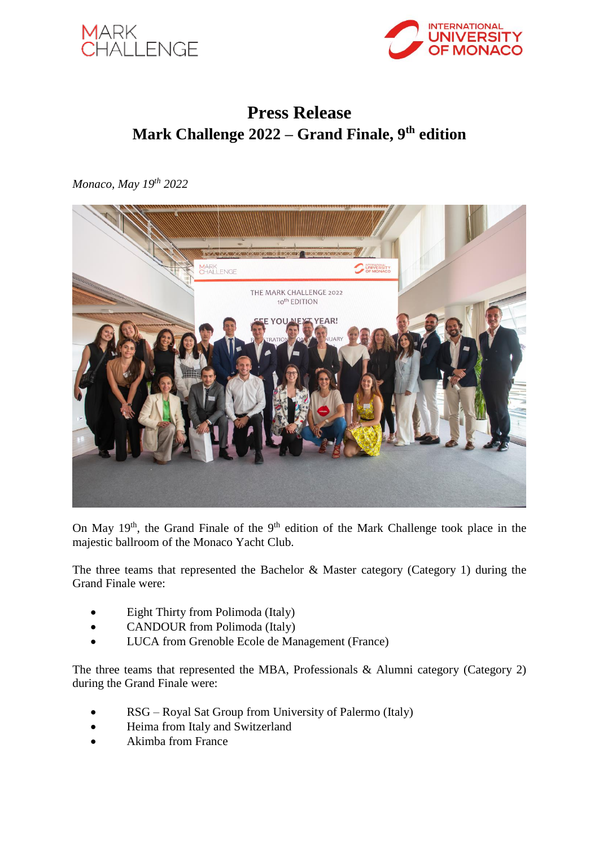



# **Press Release Mark Challenge 2022 – Grand Finale, 9th edition**

*Monaco, May 19th 2022*



On May  $19<sup>th</sup>$ , the Grand Finale of the  $9<sup>th</sup>$  edition of the Mark Challenge took place in the majestic ballroom of the Monaco Yacht Club.

The three teams that represented the Bachelor & Master category (Category 1) during the Grand Finale were:

- Eight Thirty from Polimoda (Italy)
- CANDOUR from Polimoda (Italy)
- LUCA from Grenoble Ecole de Management (France)

The three teams that represented the MBA, Professionals & Alumni category (Category 2) during the Grand Finale were:

- RSG Royal Sat Group from University of Palermo (Italy)
- Heima from Italy and Switzerland
- Akimba from France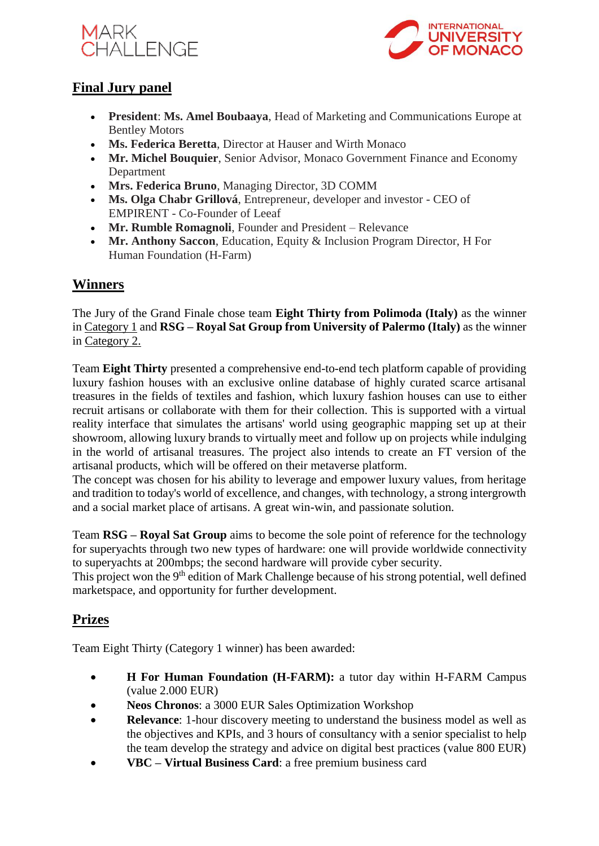



## **Final Jury panel**

- **President**: **Ms. Amel Boubaaya**, Head of Marketing and Communications Europe at Bentley Motors
- **Ms. Federica Beretta**, Director at Hauser and Wirth Monaco
- **Mr. Michel Bouquier**, Senior Advisor, Monaco Government Finance and Economy **Department**
- **Mrs. Federica Bruno**, Managing Director, 3D COMM
- **Ms. Olga Chabr Grillová**, Entrepreneur, developer and investor CEO of EMPIRENT - Co-Founder of Leeaf
- **Mr. Rumble Romagnoli**, Founder and President Relevance
- **Mr. Anthony Saccon**, Education, Equity & Inclusion Program Director, H For Human Foundation (H-Farm)

## **Winners**

The Jury of the Grand Finale chose team **Eight Thirty from Polimoda (Italy)** as the winner in Category 1 and **RSG – Royal Sat Group from University of Palermo (Italy)** as the winner in Category 2.

Team **Eight Thirty** presented a comprehensive end-to-end tech platform capable of providing luxury fashion houses with an exclusive online database of highly curated scarce artisanal treasures in the fields of textiles and fashion, which luxury fashion houses can use to either recruit artisans or collaborate with them for their collection. This is supported with a virtual reality interface that simulates the artisans' world using geographic mapping set up at their showroom, allowing luxury brands to virtually meet and follow up on projects while indulging in the world of artisanal treasures. The project also intends to create an FT version of the artisanal products, which will be offered on their metaverse platform.

The concept was chosen for his ability to leverage and empower luxury values, from heritage and tradition to today's world of excellence, and changes, with technology, a strong intergrowth and a social market place of artisans. A great win-win, and passionate solution.

Team **RSG – Royal Sat Group** aims to become the sole point of reference for the technology for superyachts through two new types of hardware: one will provide worldwide connectivity to superyachts at 200mbps; the second hardware will provide cyber security.

This project won the 9<sup>th</sup> edition of Mark Challenge because of his strong potential, well defined marketspace, and opportunity for further development.

# **Prizes**

Team Eight Thirty (Category 1 winner) has been awarded:

- **H For Human Foundation (H-FARM):** a tutor day within H-FARM Campus (value 2.000 EUR)
- **Neos Chronos**: a 3000 EUR Sales Optimization Workshop
- **Relevance**: 1-hour discovery meeting to understand the business model as well as the objectives and KPIs, and 3 hours of consultancy with a senior specialist to help the team develop the strategy and advice on digital best practices (value 800 EUR)
- **VBC – Virtual Business Card**: a free premium business card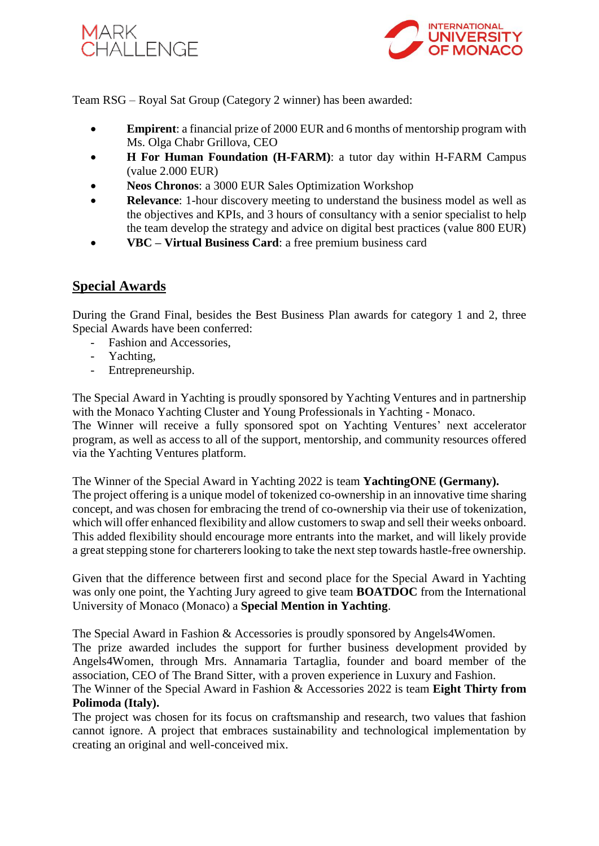



Team RSG – Royal Sat Group (Category 2 winner) has been awarded:

- **Empirent**: a financial prize of 2000 EUR and 6 months of mentorship program with Ms. Olga Chabr Grillova, CEO
- **H For Human Foundation (H-FARM)**: a tutor day within H-FARM Campus (value 2.000 EUR)
- **Neos Chronos**: a 3000 EUR Sales Optimization Workshop
- **Relevance:** 1-hour discovery meeting to understand the business model as well as the objectives and KPIs, and 3 hours of consultancy with a senior specialist to help the team develop the strategy and advice on digital best practices (value 800 EUR)
- **VBC – Virtual Business Card**: a free premium business card

### **Special Awards**

During the Grand Final, besides the Best Business Plan awards for category 1 and 2, three Special Awards have been conferred:

- Fashion and Accessories,
- Yachting,
- Entrepreneurship.

The Special Award in Yachting is proudly sponsored by Yachting Ventures and in partnership with the Monaco Yachting Cluster and Young Professionals in Yachting - Monaco.

The Winner will receive a fully sponsored spot on Yachting Ventures' next accelerator program, as well as access to all of the support, mentorship, and community resources offered via the Yachting Ventures platform.

The Winner of the Special Award in Yachting 2022 is team **YachtingONE (Germany).** The project offering is a unique model of tokenized co-ownership in an innovative time sharing concept, and was chosen for embracing the trend of co-ownership via their use of tokenization, which will offer enhanced flexibility and allow customers to swap and sell their weeks onboard. This added flexibility should encourage more entrants into the market, and will likely provide a great stepping stone for charterers looking to take the next step towards hastle-free ownership.

Given that the difference between first and second place for the Special Award in Yachting was only one point, the Yachting Jury agreed to give team **BOATDOC** from the International University of Monaco (Monaco) a **Special Mention in Yachting**.

The Special Award in Fashion & Accessories is proudly sponsored by Angels4Women. The prize awarded includes the support for further business development provided by Angels4Women, through Mrs. Annamaria Tartaglia, founder and board member of the association, CEO of The Brand Sitter, with a proven experience in Luxury and Fashion.

#### The Winner of the Special Award in Fashion & Accessories 2022 is team **Eight Thirty from Polimoda (Italy).**

The project was chosen for its focus on craftsmanship and research, two values that fashion cannot ignore. A project that embraces sustainability and technological implementation by creating an original and well-conceived mix.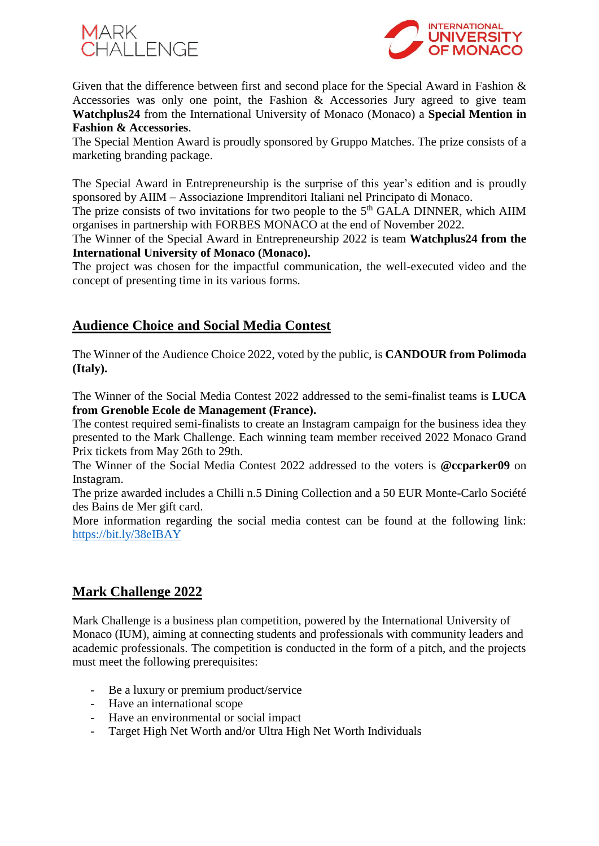



Given that the difference between first and second place for the Special Award in Fashion & Accessories was only one point, the Fashion & Accessories Jury agreed to give team **Watchplus24** from the International University of Monaco (Monaco) a **Special Mention in Fashion & Accessories**.

The Special Mention Award is proudly sponsored by Gruppo Matches. The prize consists of a marketing branding package.

The Special Award in Entrepreneurship is the surprise of this year's edition and is proudly sponsored by AIIM – Associazione Imprenditori Italiani nel Principato di Monaco.

The prize consists of two invitations for two people to the  $5<sup>th</sup> GALA$  DINNER, which AIIM organises in partnership with FORBES MONACO at the end of November 2022.

The Winner of the Special Award in Entrepreneurship 2022 is team **Watchplus24 from the International University of Monaco (Monaco).**

The project was chosen for the impactful communication, the well-executed video and the concept of presenting time in its various forms.

### **Audience Choice and Social Media Contest**

The Winner of the Audience Choice 2022, voted by the public, is **CANDOUR from Polimoda (Italy).**

The Winner of the Social Media Contest 2022 addressed to the semi-finalist teams is **LUCA from Grenoble Ecole de Management (France).**

The contest required semi-finalists to create an Instagram campaign for the business idea they presented to the Mark Challenge. Each winning team member received 2022 Monaco Grand Prix tickets from May 26th to 29th.

The Winner of the Social Media Contest 2022 addressed to the voters is **@ccparker09** on Instagram.

The prize awarded includes a Chilli n.5 Dining Collection and a 50 EUR Monte-Carlo Société des Bains de Mer gift card.

More information regarding the social media contest can be found at the following link: <https://bit.ly/38eIBAY>

#### **Mark Challenge 2022**

Mark Challenge is a business plan competition, powered by the International University of Monaco (IUM), aiming at connecting students and professionals with community leaders and academic professionals. The competition is conducted in the form of a pitch, and the projects must meet the following prerequisites:

- Be a luxury or premium product/service
- Have an international scope
- Have an environmental or social impact
- Target High Net Worth and/or Ultra High Net Worth Individuals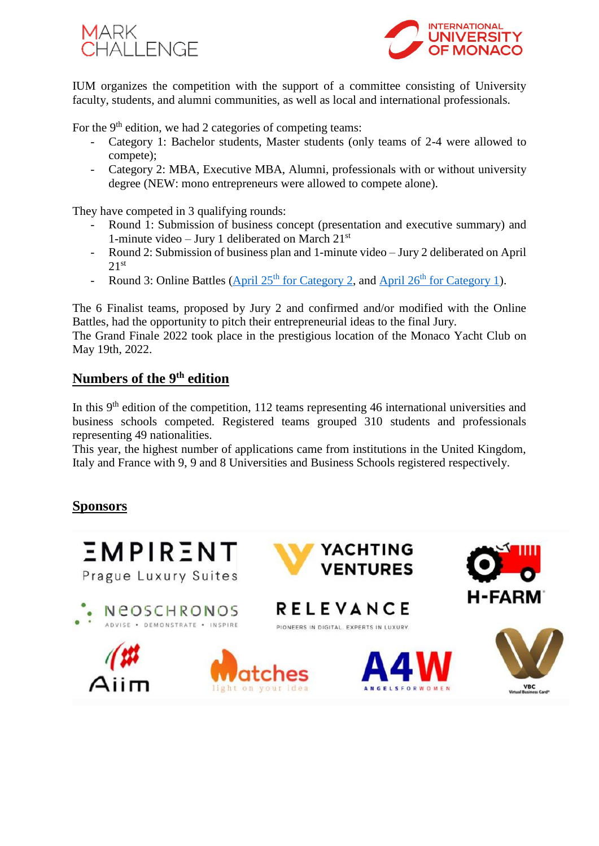



IUM organizes the competition with the support of a committee consisting of University faculty, students, and alumni communities, as well as local and international professionals.

For the  $9<sup>th</sup>$  edition, we had 2 categories of competing teams:

- Category 1: Bachelor students, Master students (only teams of 2-4 were allowed to compete);
- Category 2: MBA, Executive MBA, Alumni, professionals with or without university degree (NEW: mono entrepreneurs were allowed to compete alone).

They have competed in 3 qualifying rounds:

- Round 1: Submission of business concept (presentation and executive summary) and 1-minute video – Jury 1 deliberated on March  $21^{st}$
- Round 2: Submission of business plan and 1-minute video Jury 2 deliberated on April  $2.1$ <sup>st</sup>
- Round 3: Online Battles (April  $25<sup>th</sup>$  [for Category 2,](https://youtu.be/rwAgEBdBpKg) and April  $26<sup>th</sup>$  [for Category 1\)](https://youtu.be/o1bOF-KMgi8).

The 6 Finalist teams, proposed by Jury 2 and confirmed and/or modified with the Online Battles, had the opportunity to pitch their entrepreneurial ideas to the final Jury.

The Grand Finale 2022 took place in the prestigious location of the Monaco Yacht Club on May 19th, 2022.

#### **Numbers of the 9th edition**

In this 9<sup>th</sup> edition of the competition, 112 teams representing 46 international universities and business schools competed. Registered teams grouped 310 students and professionals representing 49 nationalities.

This year, the highest number of applications came from institutions in the United Kingdom, Italy and France with 9, 9 and 8 Universities and Business Schools registered respectively.

#### **Sponsors**